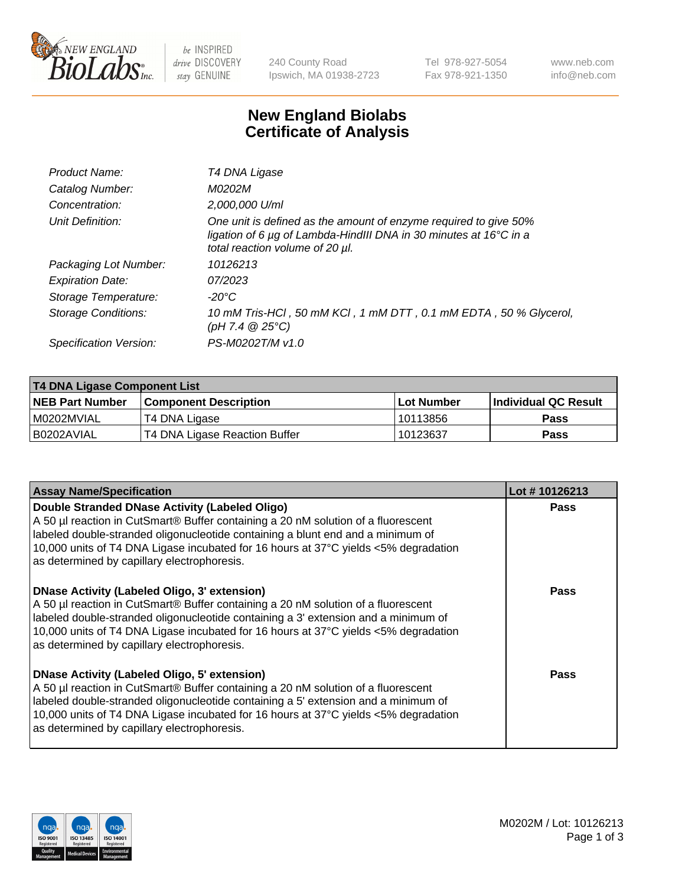

be INSPIRED drive DISCOVERY stay GENUINE

240 County Road Ipswich, MA 01938-2723 Tel 978-927-5054 Fax 978-921-1350 www.neb.com info@neb.com

## **New England Biolabs Certificate of Analysis**

| Product Name:              | T4 DNA Ligase                                                                                                                                                                           |
|----------------------------|-----------------------------------------------------------------------------------------------------------------------------------------------------------------------------------------|
| Catalog Number:            | M0202M                                                                                                                                                                                  |
| Concentration:             | 2,000,000 U/ml                                                                                                                                                                          |
| Unit Definition:           | One unit is defined as the amount of enzyme required to give 50%<br>ligation of 6 $\mu$ g of Lambda-HindIII DNA in 30 minutes at 16 $\degree$ C in a<br>total reaction volume of 20 µl. |
| Packaging Lot Number:      | 10126213                                                                                                                                                                                |
| <b>Expiration Date:</b>    | 07/2023                                                                                                                                                                                 |
| Storage Temperature:       | $-20^{\circ}$ C                                                                                                                                                                         |
| <b>Storage Conditions:</b> | 10 mM Tris-HCl, 50 mM KCl, 1 mM DTT, 0.1 mM EDTA, 50 % Glycerol,<br>(pH 7.4 $@25°C$ )                                                                                                   |
| Specification Version:     | PS-M0202T/M v1.0                                                                                                                                                                        |

| T4 DNA Ligase Component List |                               |                   |                      |  |  |
|------------------------------|-------------------------------|-------------------|----------------------|--|--|
| <b>NEB Part Number</b>       | <b>Component Description</b>  | <b>Lot Number</b> | Individual QC Result |  |  |
| I M0202MVIAL                 | T4 DNA Ligase                 | 10113856          | <b>Pass</b>          |  |  |
| I B0202AVIAL                 | T4 DNA Ligase Reaction Buffer | 10123637          | <b>Pass</b>          |  |  |

| <b>Assay Name/Specification</b>                                                                                                                                                                                                                                                                                                                               | Lot #10126213 |
|---------------------------------------------------------------------------------------------------------------------------------------------------------------------------------------------------------------------------------------------------------------------------------------------------------------------------------------------------------------|---------------|
| Double Stranded DNase Activity (Labeled Oligo)<br>A 50 µl reaction in CutSmart® Buffer containing a 20 nM solution of a fluorescent<br>abeled double-stranded oligonucleotide containing a blunt end and a minimum of<br>10,000 units of T4 DNA Ligase incubated for 16 hours at 37°C yields <5% degradation<br>as determined by capillary electrophoresis.   | <b>Pass</b>   |
| DNase Activity (Labeled Oligo, 3' extension)<br>A 50 µl reaction in CutSmart® Buffer containing a 20 nM solution of a fluorescent<br>labeled double-stranded oligonucleotide containing a 3' extension and a minimum of<br>10,000 units of T4 DNA Ligase incubated for 16 hours at 37°C yields <5% degradation<br>as determined by capillary electrophoresis. | Pass          |
| DNase Activity (Labeled Oligo, 5' extension)<br>A 50 µl reaction in CutSmart® Buffer containing a 20 nM solution of a fluorescent<br>labeled double-stranded oligonucleotide containing a 5' extension and a minimum of<br>10,000 units of T4 DNA Ligase incubated for 16 hours at 37°C yields <5% degradation<br>as determined by capillary electrophoresis. | Pass          |

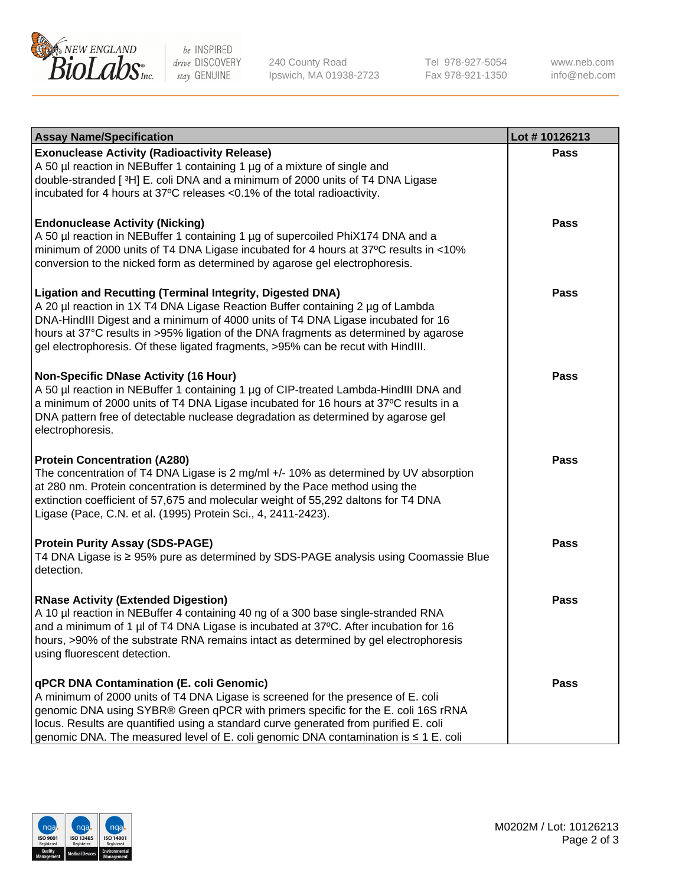

be INSPIRED drive DISCOVERY stay GENUINE

240 County Road Ipswich, MA 01938-2723 Tel 978-927-5054 Fax 978-921-1350

www.neb.com info@neb.com

| <b>Assay Name/Specification</b>                                                                                                                                                                                                                                                                                                                                                                             | Lot #10126213 |
|-------------------------------------------------------------------------------------------------------------------------------------------------------------------------------------------------------------------------------------------------------------------------------------------------------------------------------------------------------------------------------------------------------------|---------------|
| <b>Exonuclease Activity (Radioactivity Release)</b><br>A 50 µl reaction in NEBuffer 1 containing 1 µg of a mixture of single and<br>double-stranded [3H] E. coli DNA and a minimum of 2000 units of T4 DNA Ligase<br>incubated for 4 hours at 37°C releases <0.1% of the total radioactivity.                                                                                                               | <b>Pass</b>   |
| <b>Endonuclease Activity (Nicking)</b><br>A 50 µl reaction in NEBuffer 1 containing 1 µg of supercoiled PhiX174 DNA and a<br>minimum of 2000 units of T4 DNA Ligase incubated for 4 hours at 37°C results in <10%<br>conversion to the nicked form as determined by agarose gel electrophoresis.                                                                                                            | <b>Pass</b>   |
| Ligation and Recutting (Terminal Integrity, Digested DNA)<br>A 20 µl reaction in 1X T4 DNA Ligase Reaction Buffer containing 2 µg of Lambda<br>DNA-HindIII Digest and a minimum of 4000 units of T4 DNA Ligase incubated for 16<br>hours at 37°C results in >95% ligation of the DNA fragments as determined by agarose<br>gel electrophoresis. Of these ligated fragments, >95% can be recut with HindIII. | <b>Pass</b>   |
| <b>Non-Specific DNase Activity (16 Hour)</b><br>A 50 µl reaction in NEBuffer 1 containing 1 µg of CIP-treated Lambda-HindIII DNA and<br>a minimum of 2000 units of T4 DNA Ligase incubated for 16 hours at 37°C results in a<br>DNA pattern free of detectable nuclease degradation as determined by agarose gel<br>electrophoresis.                                                                        | <b>Pass</b>   |
| <b>Protein Concentration (A280)</b><br>The concentration of T4 DNA Ligase is 2 mg/ml +/- 10% as determined by UV absorption<br>at 280 nm. Protein concentration is determined by the Pace method using the<br>extinction coefficient of 57,675 and molecular weight of 55,292 daltons for T4 DNA<br>Ligase (Pace, C.N. et al. (1995) Protein Sci., 4, 2411-2423).                                           | <b>Pass</b>   |
| <b>Protein Purity Assay (SDS-PAGE)</b><br>T4 DNA Ligase is ≥ 95% pure as determined by SDS-PAGE analysis using Coomassie Blue<br>detection.                                                                                                                                                                                                                                                                 | <b>Pass</b>   |
| <b>RNase Activity (Extended Digestion)</b><br>A 10 µl reaction in NEBuffer 4 containing 40 ng of a 300 base single-stranded RNA<br>and a minimum of 1 µl of T4 DNA Ligase is incubated at 37°C. After incubation for 16<br>hours, >90% of the substrate RNA remains intact as determined by gel electrophoresis<br>using fluorescent detection.                                                             | <b>Pass</b>   |
| qPCR DNA Contamination (E. coli Genomic)<br>A minimum of 2000 units of T4 DNA Ligase is screened for the presence of E. coli<br>genomic DNA using SYBR® Green qPCR with primers specific for the E. coli 16S rRNA<br>locus. Results are quantified using a standard curve generated from purified E. coli<br>genomic DNA. The measured level of E. coli genomic DNA contamination is ≤ 1 E. coli            | Pass          |